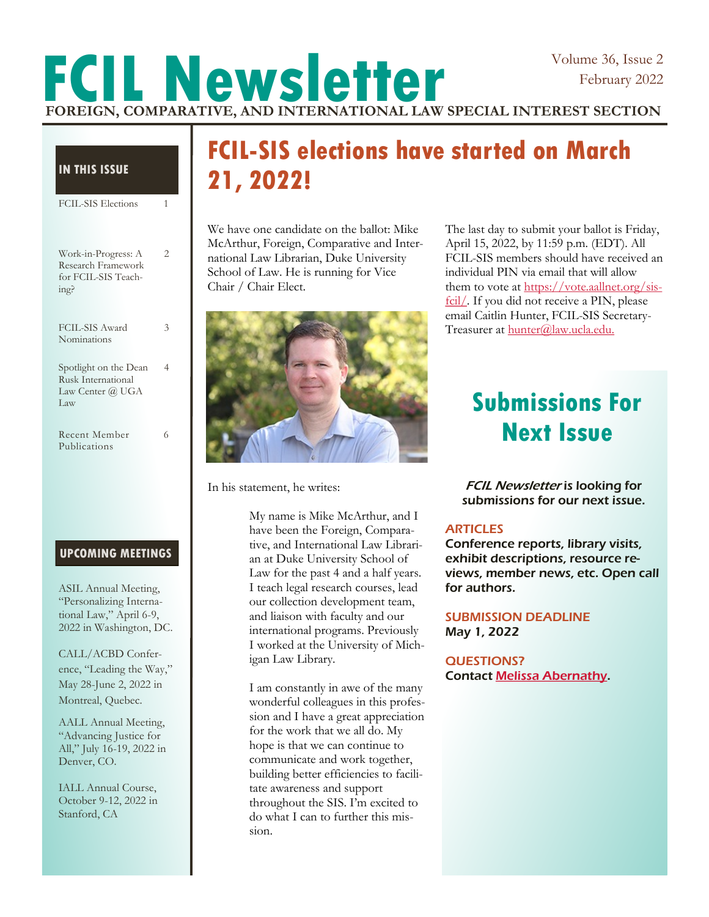### Volume 36, Issue 2 February 2022

# **FCIL Newsletter FOREIGN, COMPARATIVE, AND INTERNATIONAL LAW SPECIAL INTEREST SECTION**

#### **IN THIS ISSUE**

| <b>FCIL-SIS Elections</b>                                                | 1 |
|--------------------------------------------------------------------------|---|
| Work-in-Progress: A<br>Research Framework<br>for FCIL-SIS Teach-<br>ing? | 2 |
| FCIL-SIS Award<br>Nominations                                            | 3 |
| Spotlight on the Dean<br>Rusk International<br>Law Center @ UGA<br>Law   | 4 |
| Recent Member<br>Publications                                            | 6 |

#### **UPCOMING MEETINGS**

ASIL Annual Meeting, "Personalizing International Law," April 6-9, 2022 in Washington, DC.

CALL/ACBD Conference, "Leading the Way," May 28-June 2, 2022 in Montreal, Quebec.

AALL Annual Meeting, "Advancing Justice for All," July 16-19, 2022 in Denver, CO.

IALL Annual Course, October 9-12, 2022 in Stanford, CA

## **FCIL-SIS elections have started on March 21, 2022!**

We have one candidate on the ballot: Mike McArthur, Foreign, Comparative and International Law Librarian, Duke University School of Law. He is running for Vice Chair / Chair Elect.



In his statement, he writes:

My name is Mike McArthur, and I have been the Foreign, Comparative, and International Law Librarian at Duke University School of Law for the past 4 and a half years. I teach legal research courses, lead our collection development team, and liaison with faculty and our international programs. Previously I worked at the University of Michigan Law Library.

I am constantly in awe of the many wonderful colleagues in this profession and I have a great appreciation for the work that we all do. My hope is that we can continue to communicate and work together, building better efficiencies to facilitate awareness and support throughout the SIS. I'm excited to do what I can to further this mission.

The last day to submit your ballot is Friday, April 15, 2022, by 11:59 p.m. (EDT). All FCIL-SIS members should have received an individual PIN via email that will allow them to vote at [https://vote.aallnet.org/sis](https://vote.aallnet.org/sis-fcil/)[fcil/.](https://vote.aallnet.org/sis-fcil/) If you did not receive a PIN, please email Caitlin Hunter, FCIL-SIS Secretary-Treasurer at [hunter@law.ucla.edu.](mailto:hunter@law.ucla.edu)

## **Submissions For Next Issue**

FCIL Newsletter is looking for submissions for our next issue.

#### **ARTICLES**

Conference reports, library visits, exhibit descriptions, resource reviews, member news, etc. Open call for authors.

#### SUBMISSION DEADLINE May 1, 2022

#### QUESTIONS? Contact [Melissa Abernathy.](mailto:mabernathy@sandiego.edu)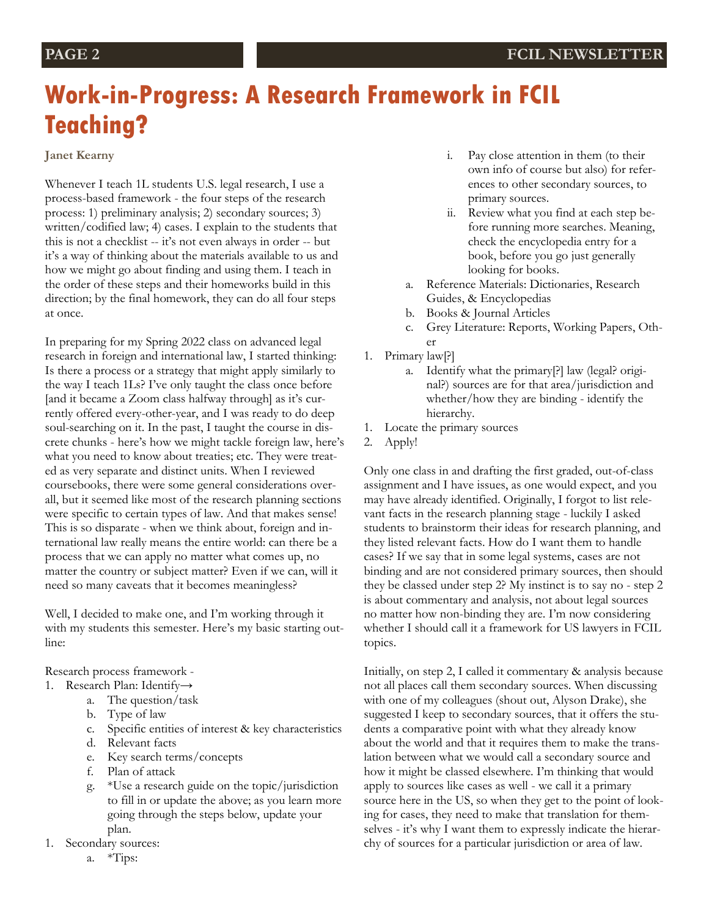## **Work-in-Progress: A Research Framework in FCIL Teaching?**

#### **Janet Kearny**

Whenever I teach 1L students U.S. legal research, I use a process-based framework - the four steps of the research process: 1) preliminary analysis; 2) secondary sources; 3) written/codified law; 4) cases. I explain to the students that this is not a checklist -- it's not even always in order -- but it's a way of thinking about the materials available to us and how we might go about finding and using them. I teach in the order of these steps and their homeworks build in this direction; by the final homework, they can do all four steps at once.

In preparing for my Spring 2022 class on advanced legal research in foreign and international law, I started thinking: Is there a process or a strategy that might apply similarly to the way I teach 1Ls? I've only taught the class once before [and it became a Zoom class halfway through] as it's currently offered every-other-year, and I was ready to do deep soul-searching on it. In the past, I taught the course in discrete chunks - here's how we might tackle foreign law, here's what you need to know about treaties; etc. They were treated as very separate and distinct units. When I reviewed coursebooks, there were some general considerations overall, but it seemed like most of the research planning sections were specific to certain types of law. And that makes sense! This is so disparate - when we think about, foreign and international law really means the entire world: can there be a process that we can apply no matter what comes up, no matter the country or subject matter? Even if we can, will it need so many caveats that it becomes meaningless?

Well, I decided to make one, and I'm working through it with my students this semester. Here's my basic starting outline:

Research process framework -

- 1. Research Plan: Identify→
	- a. The question/task
	- b. Type of law
	- c. Specific entities of interest & key characteristics
	- d. Relevant facts
	- e. Key search terms/concepts
	- f. Plan of attack
	- g. \*Use a research guide on the topic/jurisdiction to fill in or update the above; as you learn more going through the steps below, update your plan.
- 1. Secondary sources:
	- a. \*Tips:
- i. Pay close attention in them (to their own info of course but also) for references to other secondary sources, to primary sources.
- ii. Review what you find at each step before running more searches. Meaning, check the encyclopedia entry for a book, before you go just generally looking for books.
- a. Reference Materials: Dictionaries, Research Guides, & Encyclopedias
- b. Books & Journal Articles
- c. Grey Literature: Reports, Working Papers, Other
- 1. Primary law[?]
	- a. Identify what the primary[?] law (legal? original?) sources are for that area/jurisdiction and whether/how they are binding - identify the hierarchy.
- 1. Locate the primary sources
- 2. Apply!

Only one class in and drafting the first graded, out-of-class assignment and I have issues, as one would expect, and you may have already identified. Originally, I forgot to list relevant facts in the research planning stage - luckily I asked students to brainstorm their ideas for research planning, and they listed relevant facts. How do I want them to handle cases? If we say that in some legal systems, cases are not binding and are not considered primary sources, then should they be classed under step 2? My instinct is to say no - step 2 is about commentary and analysis, not about legal sources no matter how non-binding they are. I'm now considering whether I should call it a framework for US lawyers in FCIL topics.

Initially, on step 2, I called it commentary & analysis because not all places call them secondary sources. When discussing with one of my colleagues (shout out, Alyson Drake), she suggested I keep to secondary sources, that it offers the students a comparative point with what they already know about the world and that it requires them to make the translation between what we would call a secondary source and how it might be classed elsewhere. I'm thinking that would apply to sources like cases as well - we call it a primary source here in the US, so when they get to the point of looking for cases, they need to make that translation for themselves - it's why I want them to expressly indicate the hierarchy of sources for a particular jurisdiction or area of law.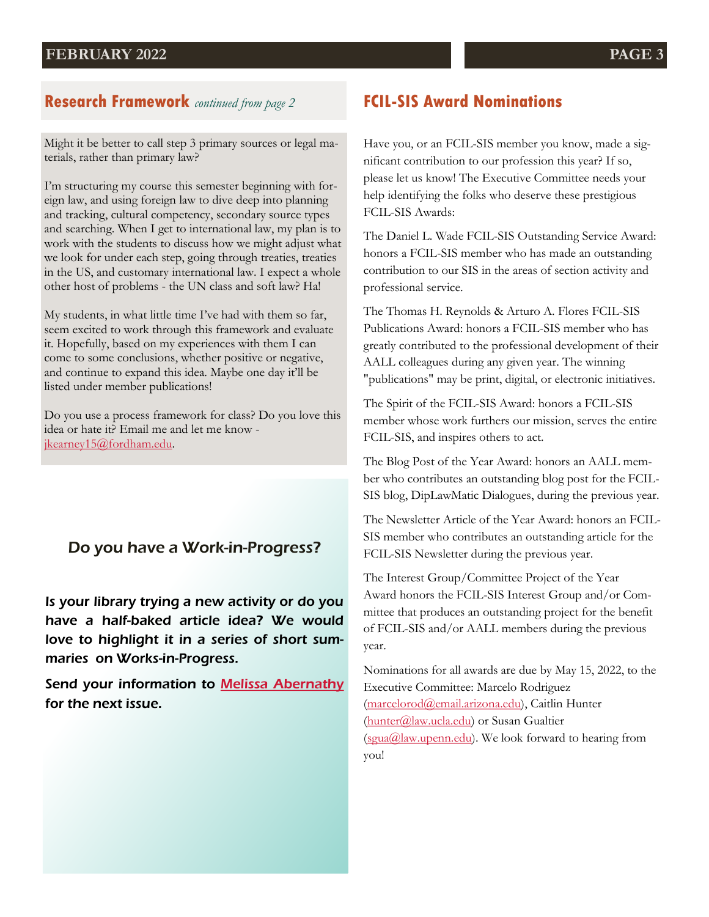### **Research Framework** *continued from page 2*

Might it be better to call step 3 primary sources or legal materials, rather than primary law?

I'm structuring my course this semester beginning with foreign law, and using foreign law to dive deep into planning and tracking, cultural competency, secondary source types and searching. When I get to international law, my plan is to work with the students to discuss how we might adjust what we look for under each step, going through treaties, treaties in the US, and customary international law. I expect a whole other host of problems - the UN class and soft law? Ha!

My students, in what little time I've had with them so far, seem excited to work through this framework and evaluate it. Hopefully, based on my experiences with them I can come to some conclusions, whether positive or negative, and continue to expand this idea. Maybe one day it'll be listed under member publications!

Do you use a process framework for class? Do you love this idea or hate it? Email me and let me know [jkearney15@fordham.edu.](mailto:jkearney15@fordham.edu) 

### Do you have a Work-in-Progress?

Is your library trying a new activity or do you have a half-baked article idea? We would love to highlight it in a series of short summaries on Works-in-Progress.

Send your information to **[Melissa Abernathy](mailto:mabernathy@sandiego.edu)** for the next issue.

### **FCIL-SIS Award Nominations**

Have you, or an FCIL-SIS member you know, made a significant contribution to our profession this year? If so, please let us know! The Executive Committee needs your help identifying the folks who deserve these prestigious FCIL-SIS Awards:

The Daniel L. Wade FCIL-SIS Outstanding Service Award: honors a FCIL-SIS member who has made an outstanding contribution to our SIS in the areas of section activity and professional service.

The Thomas H. Reynolds & Arturo A. Flores FCIL-SIS Publications Award: honors a FCIL-SIS member who has greatly contributed to the professional development of their AALL colleagues during any given year. The winning "publications" may be print, digital, or electronic initiatives.

The Spirit of the FCIL-SIS Award: honors a FCIL-SIS member whose work furthers our mission, serves the entire FCIL-SIS, and inspires others to act.

The Blog Post of the Year Award: honors an AALL member who contributes an outstanding blog post for the FCIL-SIS blog, DipLawMatic Dialogues, during the previous year.

The Newsletter Article of the Year Award: honors an FCIL-SIS member who contributes an outstanding article for the FCIL-SIS Newsletter during the previous year.

The Interest Group/Committee Project of the Year Award honors the FCIL-SIS Interest Group and/or Committee that produces an outstanding project for the benefit of FCIL-SIS and/or AALL members during the previous year.

Nominations for all awards are due by May 15, 2022, to the Executive Committee: Marcelo Rodriguez [\(marcelorod@email.arizona.edu\)](mailto:marcelorod@email.arizona.edu), Caitlin Hunter [\(hunter@law.ucla.edu\)](mailto:hunter@law.ucla.edu) or Susan Gualtier [\(sgua@law.upenn.edu\).](mailto:sgua@law.upenn.edu) We look forward to hearing from you!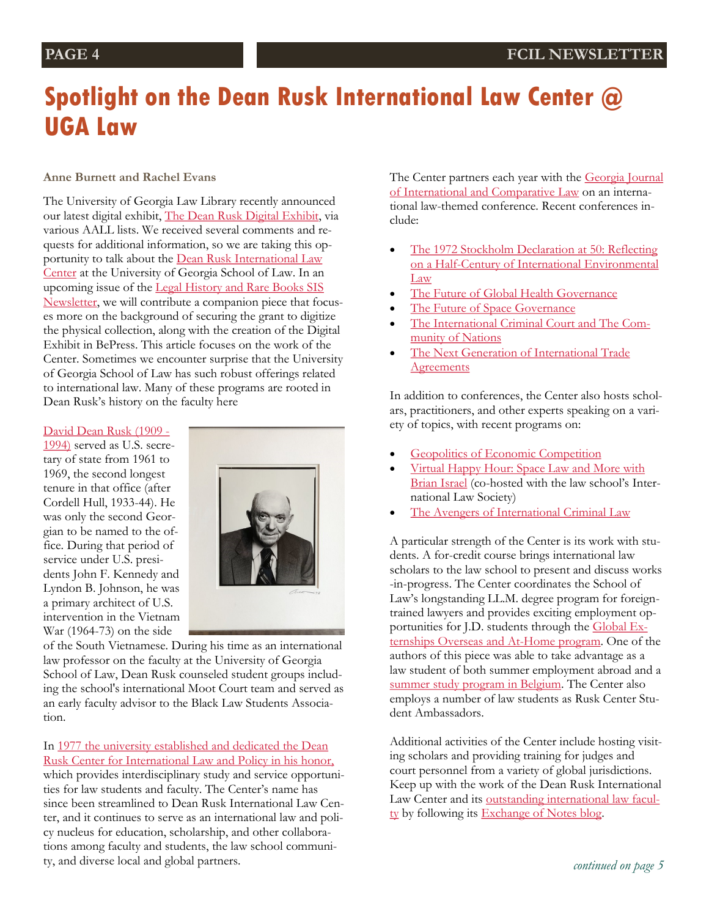## **Spotlight on the Dean Rusk International Law Center @ UGA Law**

#### **Anne Burnett and Rachel Evans**

The University of Georgia Law Library recently announced our latest digital exhibit, [The Dean Rusk Digital Exhibit,](https://digitalcommons.law.uga.edu/exhibit/dean-rusk-digital-exhibit/) via various AALL lists. We received several comments and requests for additional information, so we are taking this opportunity to talk about the [Dean Rusk International Law](http://www.law.uga.edu/ruskintl)  [Center](http://www.law.uga.edu/ruskintl) at the University of Georgia School of Law. In an upcoming issue of the [Legal History and Rare Books SIS](https://www.aallnet.org/lhrbsis/resources-publications/newsletters/)  [Newsletter,](https://www.aallnet.org/lhrbsis/resources-publications/newsletters/) we will contribute a companion piece that focuses more on the background of securing the grant to digitize the physical collection, along with the creation of the Digital Exhibit in BePress. This article focuses on the work of the Center. Sometimes we encounter surprise that the University of Georgia School of Law has such robust offerings related to international law. Many of these programs are rooted in Dean Rusk's history on the faculty here

#### [David Dean Rusk \(1909 -](https://digitalcommons.law.uga.edu/exhibit/dean-rusk-digital-exhibit/)

[1994\)](https://digitalcommons.law.uga.edu/exhibit/dean-rusk-digital-exhibit/) served as U.S. secretary of state from 1961 to 1969, the second longest tenure in that office (after Cordell Hull, 1933-44). He was only the second Georgian to be named to the office. During that period of service under U.S. presidents John F. Kennedy and Lyndon B. Johnson, he was a primary architect of U.S. intervention in the Vietnam War (1964-73) on the side



of the South Vietnamese. During his time as an international law professor on the faculty at the University of Georgia School of Law, Dean Rusk counseled student groups including the school's international Moot Court team and served as an early faculty advisor to the Black Law Students Association.

#### In [1977 the university established and dedicated the Dean](https://digitalcommons.law.uga.edu/exhibit/dean-rusk-digital-exhibit/rusk-center-dedication/)

[Rusk Center for International Law and Policy in his honor,](https://digitalcommons.law.uga.edu/exhibit/dean-rusk-digital-exhibit/rusk-center-dedication/) which provides interdisciplinary study and service opportunities for law students and faculty. The Center's name has since been streamlined to Dean Rusk International Law Center, and it continues to serve as an international law and policy nucleus for education, scholarship, and other collaborations among faculty and students, the law school community, and diverse local and global partners.

The Center partners each year with the Georgia Journal [of International and Comparative Law](https://digitalcommons.law.uga.edu/gjicl/) on an international law-themed conference. Recent conferences include:

- [The 1972 Stockholm Declaration at 50: Reflecting](http://www.law.uga.edu/gjiclfall2021)  [on a Half-Century of International Environmental](http://www.law.uga.edu/gjiclfall2021)  [Law](http://www.law.uga.edu/gjiclfall2021)
- [The Future of Global Health Governance](https://digitalcommons.law.uga.edu/gjicl_conference/2021/)
- [The Future of Space Governance](https://digitalcommons.law.uga.edu/gjicl_conference/2019/)
- [The International Criminal Court and The Com](https://digitalcommons.law.uga.edu/gjicl_conference/2018/)[munity of Nations](https://digitalcommons.law.uga.edu/gjicl_conference/2018/)
- [The Next Generation of International Trade](https://digitalcommons.law.uga.edu/gjicl_conference/2017/)  **[Agreements](https://digitalcommons.law.uga.edu/gjicl_conference/2017/)**

In addition to conferences, the Center also hosts scholars, practitioners, and other experts speaking on a variety of topics, with recent programs on:

- [Geopolitics of Economic Competition](https://www.law.uga.edu/events/76401)
- [Virtual Happy Hour: Space Law and More with](http://law.uga.edu/events/76254)  [Brian Israel](http://law.uga.edu/events/76254) (co-hosted with the law school's International Law Society)
- [The Avengers of International Criminal Law](http://law.uga.edu/events/76129)

A particular strength of the Center is its work with students. A for-credit course brings international law scholars to the law school to present and discuss works -in-progress. The Center coordinates the School of Law's longstanding LL.M. degree program for foreigntrained lawyers and provides exciting employment op-portunities for J.D. students through the [Global Ex](http://www.law.uga.edu/global-externship-overseas)[ternships Overseas and At-Home program.](http://www.law.uga.edu/global-externship-overseas) One of the authors of this piece was able to take advantage as a law student of both summer employment abroad and a [summer study program in Belgium.](http://www.law.uga.edu/ggss) The Center also employs a number of law students as Rusk Center Student Ambassadors.

Additional activities of the Center include hosting visiting scholars and providing training for judges and court personnel from a variety of global jurisdictions. Keep up with the work of the Dean Rusk International Law Center and its [outstanding international law facul](http://www.law.uga.edu/RuskIntl/academics/rsrch_fac)[ty](http://www.law.uga.edu/RuskIntl/academics/rsrch_fac) by following its [Exchange of Notes blog.](https://deanruskintlaw.com/)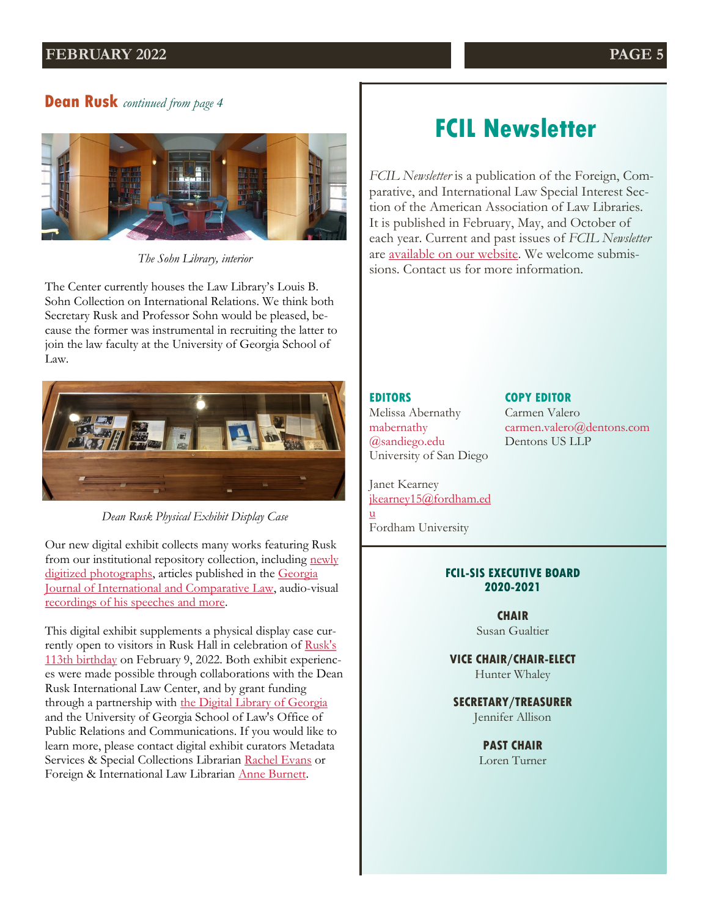#### **FEBRUARY 2022 PAGE 5**

### **Dean Rusk** *continued from page 4*



*The Sohn Library, interior*

The Center currently houses the Law Library's Louis B. Sohn Collection on International Relations. We think both Secretary Rusk and Professor Sohn would be pleased, because the former was instrumental in recruiting the latter to join the law faculty at the University of Georgia School of Law.



*Dean Rusk Physical Exhibit Display Case*

Our new digital exhibit collects many works featuring Rusk from our institutional repository collection, including newly [digitized photographs,](https://digitalcommons.law.uga.edu/exhibit/dean-rusk-digital-exhibit/photographs-of-dean-rusk/) articles published in the Georgia [Journal of International and Comparative Law,](https://digitalcommons.law.uga.edu/exhibit/dean-rusk-digital-exhibit/dean-rusk-in-gjicl/) audio-visual [recordings of his speeches and more.](https://digitalcommons.law.uga.edu/exhibit/dean-rusk-digital-exhibit/rusk-audio-visual-collection/)

This digital exhibit supplements a physical display case currently open to visitors in Rusk Hall in celebration of Rusk's [113th birthday](https://ugalawlibrary.wordpress.com/2022/02/07/from-the-archives-physical-digital-exhibits-celebrate-the-113th-birthday-of-dean-rusk-along-with-open-house-event/) on February 9, 2022. Both exhibit experiences were made possible through collaborations with the Dean Rusk International Law Center, and by grant funding through a partnership with [the Digital Library of Georgia](https://dlg.usg.edu/) and the University of Georgia School of Law's Office of Public Relations and Communications. If you would like to learn more, please contact digital exhibit curators Metadata Services & Special Collections Librarian [Rachel Evans](https://www.law.uga.edu/profile/rachel-s-evans) or Foreign & International Law Librarian [Anne Burnett.](http://www.law.uga.edu/profile/anne-burnett)

## **FCIL Newsletter**

*FCIL Newsletter* is a publication of the Foreign, Comparative, and International Law Special Interest Section of the American Association of Law Libraries. It is published in February, May, and October of each year. Current and past issues of *FCIL Newsletter* are [available on our website.](https://www.aallnet.org/fcilsis/resources-publications/newsletter/) We welcome submissions. Contact us for more information.

#### **EDITORS**

Melissa Abernathy mabernathy @sandiego.edu University of San Diego

#### **COPY EDITOR**

Carmen Valero carmen.valero@dentons.com Dentons US LLP

Janet Kearney [jkearney15@fordham.ed](mailto:jkearney15@fordham.edu) [u](mailto:jkearney15@fordham.edu)

Fordham University

#### **FCIL-SIS EXECUTIVE BOARD 2020-2021**

**CHAIR** Susan Gualtier

**VICE CHAIR/CHAIR-ELECT** Hunter Whaley

**SECRETARY/TREASURER**  Jennifer Allison

> **PAST CHAIR** Loren Turner